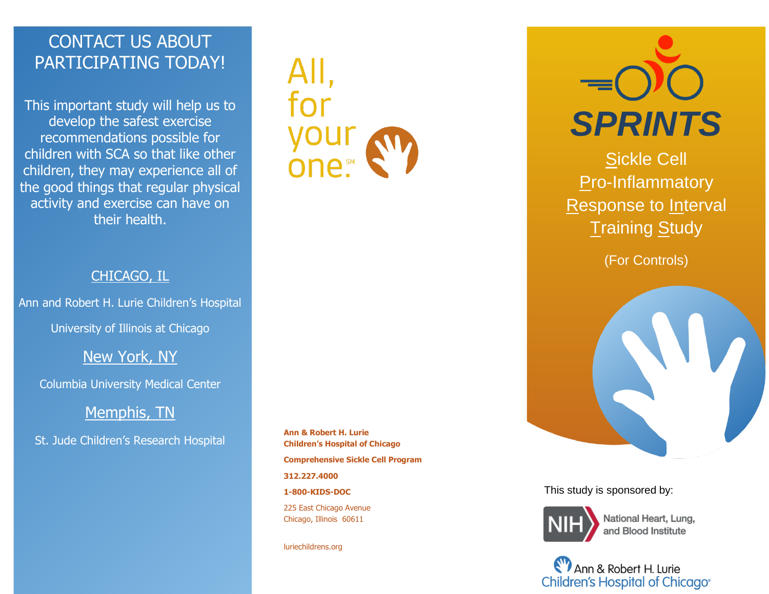## CONTACT US ABOUT PARTICIPATING TODAY!

This important study will help us to develop the safest exercise recommendations possible for children with SCA so that like other children, they may experience all of the good things that regular physical activity and exercise can have on their health.

# AII,

### CHICAGO, IL

Ann and Robert H. Lurie Children's Hospital

University of Illinois at Chicago

### New York, NY

Columbia University Medical Center

### Memphis, TN

St. Jude Children's Research Hospital

**Ann & Robert H. Lurie Children's Hospital of Chicago Comprehensive Sickle Cell Program 312.227.4000 1-800-KIDS-DOC** 225 East Chicago Avenue Chicago, Illinois 60611

luriechildrens.org



Sickle Cell **Pro-Inflammatory** Response to Interval **Training Study** 

(For Controls)



This study is sponsored by:



National Heart, Lung, and Blood Institute